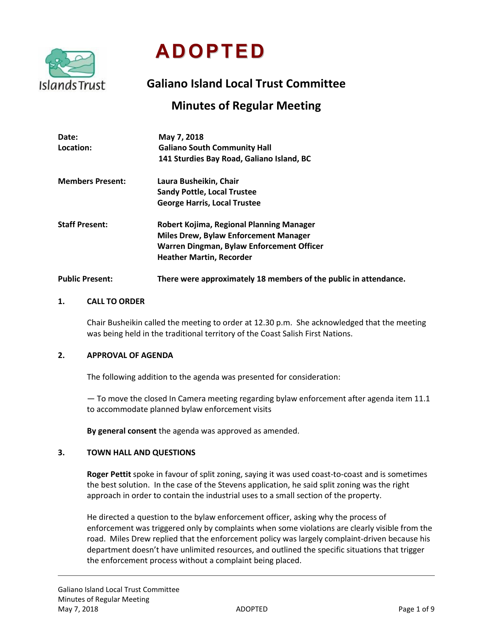

**ADOPTED**

# **Galiano Island Local Trust Committee**

## **Minutes of Regular Meeting**

| Date:<br>Location:      | May 7, 2018<br><b>Galiano South Community Hall</b><br>141 Sturdies Bay Road, Galiano Island, BC                                                                          |
|-------------------------|--------------------------------------------------------------------------------------------------------------------------------------------------------------------------|
| <b>Members Present:</b> | Laura Busheikin, Chair<br><b>Sandy Pottle, Local Trustee</b><br><b>George Harris, Local Trustee</b>                                                                      |
| <b>Staff Present:</b>   | Robert Kojima, Regional Planning Manager<br><b>Miles Drew, Bylaw Enforcement Manager</b><br>Warren Dingman, Bylaw Enforcement Officer<br><b>Heather Martin, Recorder</b> |
| <b>Public Present:</b>  | There were approximately 18 members of the public in attendance.                                                                                                         |

## **1. CALL TO ORDER**

Chair Busheikin called the meeting to order at 12.30 p.m. She acknowledged that the meeting was being held in the traditional territory of the Coast Salish First Nations.

## **2. APPROVAL OF AGENDA**

The following addition to the agenda was presented for consideration:

— To move the closed In Camera meeting regarding bylaw enforcement after agenda item 11.1 to accommodate planned bylaw enforcement visits

**By general consent** the agenda was approved as amended.

#### **3. TOWN HALL AND QUESTIONS**

**Roger Pettit** spoke in favour of split zoning, saying it was used coast-to-coast and is sometimes the best solution. In the case of the Stevens application, he said split zoning was the right approach in order to contain the industrial uses to a small section of the property.

He directed a question to the bylaw enforcement officer, asking why the process of enforcement was triggered only by complaints when some violations are clearly visible from the road. Miles Drew replied that the enforcement policy was largely complaint-driven because his department doesn't have unlimited resources, and outlined the specific situations that trigger the enforcement process without a complaint being placed.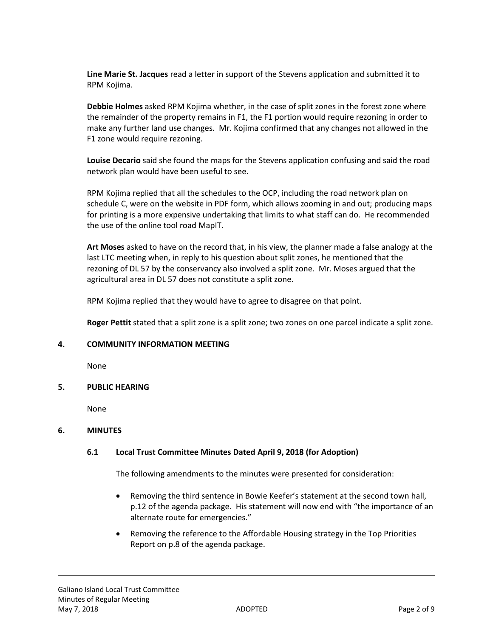**Line Marie St. Jacques** read a letter in support of the Stevens application and submitted it to RPM Kojima.

**Debbie Holmes** asked RPM Kojima whether, in the case of split zones in the forest zone where the remainder of the property remains in F1, the F1 portion would require rezoning in order to make any further land use changes. Mr. Kojima confirmed that any changes not allowed in the F1 zone would require rezoning.

**Louise Decario** said she found the maps for the Stevens application confusing and said the road network plan would have been useful to see.

RPM Kojima replied that all the schedules to the OCP, including the road network plan on schedule C, were on the website in PDF form, which allows zooming in and out; producing maps for printing is a more expensive undertaking that limits to what staff can do. He recommended the use of the online tool road MapIT.

**Art Moses** asked to have on the record that, in his view, the planner made a false analogy at the last LTC meeting when, in reply to his question about split zones, he mentioned that the rezoning of DL 57 by the conservancy also involved a split zone. Mr. Moses argued that the agricultural area in DL 57 does not constitute a split zone.

RPM Kojima replied that they would have to agree to disagree on that point.

**Roger Pettit** stated that a split zone is a split zone; two zones on one parcel indicate a split zone.

## **4. COMMUNITY INFORMATION MEETING**

None

## **5. PUBLIC HEARING**

None

## **6. MINUTES**

## **6.1 Local Trust Committee Minutes Dated April 9, 2018 (for Adoption)**

The following amendments to the minutes were presented for consideration:

- Removing the third sentence in Bowie Keefer's statement at the second town hall, p.12 of the agenda package. His statement will now end with "the importance of an alternate route for emergencies."
- Removing the reference to the Affordable Housing strategy in the Top Priorities Report on p.8 of the agenda package.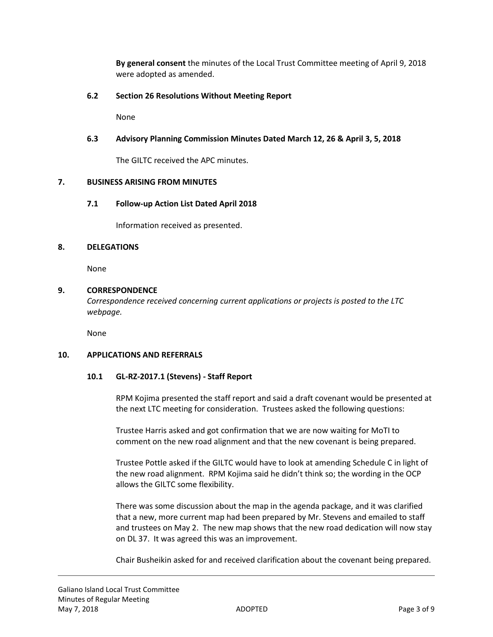**By general consent** the minutes of the Local Trust Committee meeting of April 9, 2018 were adopted as amended.

## **6.2 Section 26 Resolutions Without Meeting Report**

None

## **6.3 Advisory Planning Commission Minutes Dated March 12, 26 & April 3, 5, 2018**

The GILTC received the APC minutes.

#### **7. BUSINESS ARISING FROM MINUTES**

## **7.1 Follow-up Action List Dated April 2018**

Information received as presented.

#### **8. DELEGATIONS**

None

## **9. CORRESPONDENCE**

*Correspondence received concerning current applications or projects is posted to the LTC webpage.*

None

#### **10. APPLICATIONS AND REFERRALS**

#### **10.1 GL-RZ-2017.1 (Stevens) - Staff Report**

RPM Kojima presented the staff report and said a draft covenant would be presented at the next LTC meeting for consideration. Trustees asked the following questions:

Trustee Harris asked and got confirmation that we are now waiting for MoTI to comment on the new road alignment and that the new covenant is being prepared.

Trustee Pottle asked if the GILTC would have to look at amending Schedule C in light of the new road alignment. RPM Kojima said he didn't think so; the wording in the OCP allows the GILTC some flexibility.

There was some discussion about the map in the agenda package, and it was clarified that a new, more current map had been prepared by Mr. Stevens and emailed to staff and trustees on May 2. The new map shows that the new road dedication will now stay on DL 37. It was agreed this was an improvement.

Chair Busheikin asked for and received clarification about the covenant being prepared.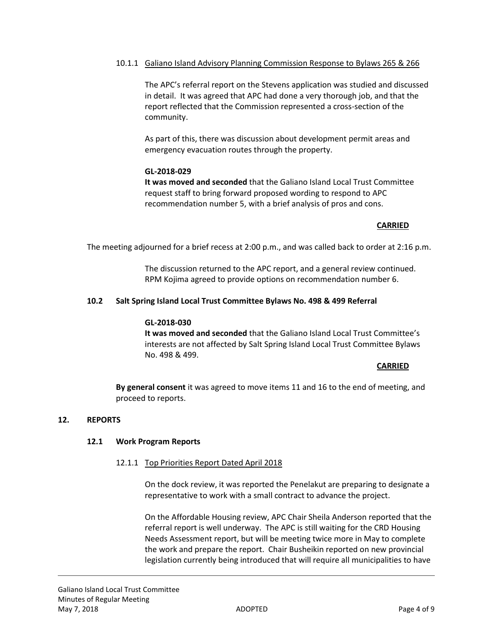## 10.1.1 Galiano Island Advisory Planning Commission Response to Bylaws 265 & 266

The APC's referral report on the Stevens application was studied and discussed in detail. It was agreed that APC had done a very thorough job, and that the report reflected that the Commission represented a cross-section of the community.

As part of this, there was discussion about development permit areas and emergency evacuation routes through the property.

## **GL-2018-029**

**It was moved and seconded** that the Galiano Island Local Trust Committee request staff to bring forward proposed wording to respond to APC recommendation number 5, with a brief analysis of pros and cons.

## **CARRIED**

The meeting adjourned for a brief recess at 2:00 p.m., and was called back to order at 2:16 p.m.

The discussion returned to the APC report, and a general review continued. RPM Kojima agreed to provide options on recommendation number 6.

## **10.2 Salt Spring Island Local Trust Committee Bylaws No. 498 & 499 Referral**

#### **GL-2018-030**

**It was moved and seconded** that the Galiano Island Local Trust Committee's interests are not affected by Salt Spring Island Local Trust Committee Bylaws No. 498 & 499.

#### **CARRIED**

**By general consent** it was agreed to move items 11 and 16 to the end of meeting, and proceed to reports.

## **12. REPORTS**

## **12.1 Work Program Reports**

## 12.1.1 Top Priorities Report Dated April 2018

On the dock review, it was reported the Penelakut are preparing to designate a representative to work with a small contract to advance the project.

On the Affordable Housing review, APC Chair Sheila Anderson reported that the referral report is well underway. The APC is still waiting for the CRD Housing Needs Assessment report, but will be meeting twice more in May to complete the work and prepare the report. Chair Busheikin reported on new provincial legislation currently being introduced that will require all municipalities to have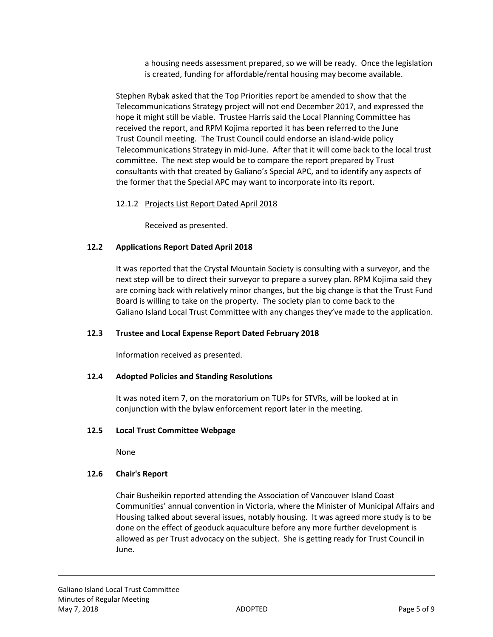a housing needs assessment prepared, so we will be ready. Once the legislation is created, funding for affordable/rental housing may become available.

Stephen Rybak asked that the Top Priorities report be amended to show that the Telecommunications Strategy project will not end December 2017, and expressed the hope it might still be viable. Trustee Harris said the Local Planning Committee has received the report, and RPM Kojima reported it has been referred to the June Trust Council meeting. The Trust Council could endorse an island-wide policy Telecommunications Strategy in mid-June. After that it will come back to the local trust committee. The next step would be to compare the report prepared by Trust consultants with that created by Galiano's Special APC, and to identify any aspects of the former that the Special APC may want to incorporate into its report.

## 12.1.2 Projects List Report Dated April 2018

Received as presented.

## **12.2 Applications Report Dated April 2018**

It was reported that the Crystal Mountain Society is consulting with a surveyor, and the next step will be to direct their surveyor to prepare a survey plan. RPM Kojima said they are coming back with relatively minor changes, but the big change is that the Trust Fund Board is willing to take on the property. The society plan to come back to the Galiano Island Local Trust Committee with any changes they've made to the application.

## **12.3 Trustee and Local Expense Report Dated February 2018**

Information received as presented.

## **12.4 Adopted Policies and Standing Resolutions**

It was noted item 7, on the moratorium on TUPs for STVRs, will be looked at in conjunction with the bylaw enforcement report later in the meeting.

## **12.5 Local Trust Committee Webpage**

None

## **12.6 Chair's Report**

Chair Busheikin reported attending the Association of Vancouver Island Coast Communities' annual convention in Victoria, where the Minister of Municipal Affairs and Housing talked about several issues, notably housing. It was agreed more study is to be done on the effect of geoduck aquaculture before any more further development is allowed as per Trust advocacy on the subject. She is getting ready for Trust Council in June.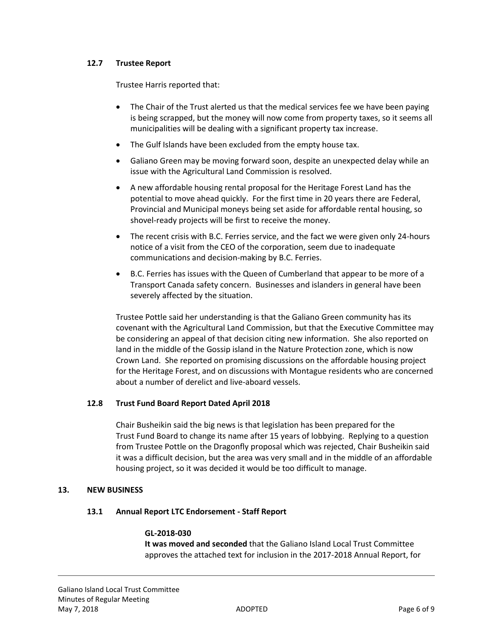## **12.7 Trustee Report**

Trustee Harris reported that:

- The Chair of the Trust alerted us that the medical services fee we have been paying is being scrapped, but the money will now come from property taxes, so it seems all municipalities will be dealing with a significant property tax increase.
- The Gulf Islands have been excluded from the empty house tax.
- Galiano Green may be moving forward soon, despite an unexpected delay while an issue with the Agricultural Land Commission is resolved.
- A new affordable housing rental proposal for the Heritage Forest Land has the potential to move ahead quickly. For the first time in 20 years there are Federal, Provincial and Municipal moneys being set aside for affordable rental housing, so shovel-ready projects will be first to receive the money.
- The recent crisis with B.C. Ferries service, and the fact we were given only 24-hours notice of a visit from the CEO of the corporation, seem due to inadequate communications and decision-making by B.C. Ferries.
- B.C. Ferries has issues with the Queen of Cumberland that appear to be more of a Transport Canada safety concern. Businesses and islanders in general have been severely affected by the situation.

Trustee Pottle said her understanding is that the Galiano Green community has its covenant with the Agricultural Land Commission, but that the Executive Committee may be considering an appeal of that decision citing new information. She also reported on land in the middle of the Gossip island in the Nature Protection zone, which is now Crown Land. She reported on promising discussions on the affordable housing project for the Heritage Forest, and on discussions with Montague residents who are concerned about a number of derelict and live-aboard vessels.

## **12.8 Trust Fund Board Report Dated April 2018**

Chair Busheikin said the big news is that legislation has been prepared for the Trust Fund Board to change its name after 15 years of lobbying. Replying to a question from Trustee Pottle on the Dragonfly proposal which was rejected, Chair Busheikin said it was a difficult decision, but the area was very small and in the middle of an affordable housing project, so it was decided it would be too difficult to manage.

## **13. NEW BUSINESS**

## **13.1 Annual Report LTC Endorsement - Staff Report**

## **GL-2018-030**

**It was moved and seconded** that the Galiano Island Local Trust Committee approves the attached text for inclusion in the 2017-2018 Annual Report, for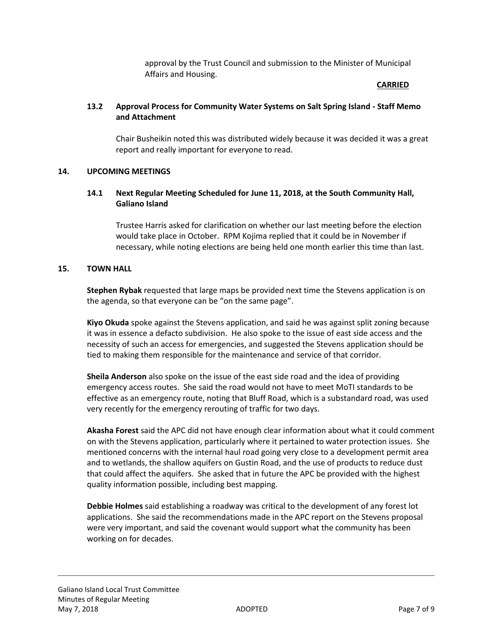approval by the Trust Council and submission to the Minister of Municipal Affairs and Housing.

## **CARRIED**

## **13.2 Approval Process for Community Water Systems on Salt Spring Island - Staff Memo and Attachment**

Chair Busheikin noted this was distributed widely because it was decided it was a great report and really important for everyone to read.

## **14. UPCOMING MEETINGS**

## **14.1 Next Regular Meeting Scheduled for June 11, 2018, at the South Community Hall, Galiano Island**

Trustee Harris asked for clarification on whether our last meeting before the election would take place in October. RPM Kojima replied that it could be in November if necessary, while noting elections are being held one month earlier this time than last.

## **15. TOWN HALL**

**Stephen Rybak** requested that large maps be provided next time the Stevens application is on the agenda, so that everyone can be "on the same page".

**Kiyo Okuda** spoke against the Stevens application, and said he was against split zoning because it was in essence a defacto subdivision. He also spoke to the issue of east side access and the necessity of such an access for emergencies, and suggested the Stevens application should be tied to making them responsible for the maintenance and service of that corridor.

**Sheila Anderson** also spoke on the issue of the east side road and the idea of providing emergency access routes. She said the road would not have to meet MoTI standards to be effective as an emergency route, noting that Bluff Road, which is a substandard road, was used very recently for the emergency rerouting of traffic for two days.

**Akasha Forest** said the APC did not have enough clear information about what it could comment on with the Stevens application, particularly where it pertained to water protection issues. She mentioned concerns with the internal haul road going very close to a development permit area and to wetlands, the shallow aquifers on Gustin Road, and the use of products to reduce dust that could affect the aquifers. She asked that in future the APC be provided with the highest quality information possible, including best mapping.

**Debbie Holmes** said establishing a roadway was critical to the development of any forest lot applications. She said the recommendations made in the APC report on the Stevens proposal were very important, and said the covenant would support what the community has been working on for decades.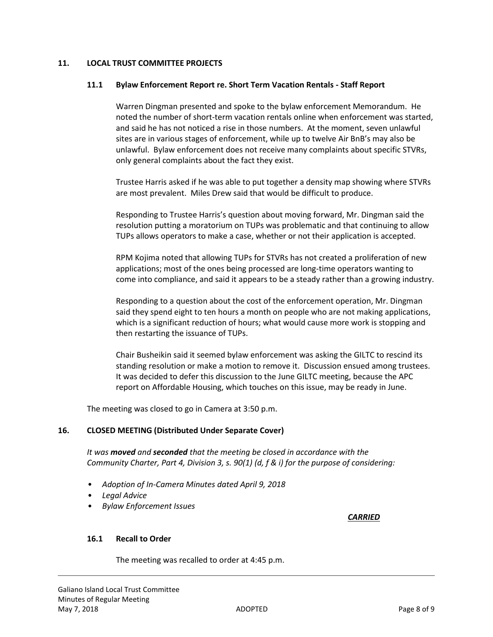## **11. LOCAL TRUST COMMITTEE PROJECTS**

## **11.1 Bylaw Enforcement Report re. Short Term Vacation Rentals - Staff Report**

Warren Dingman presented and spoke to the bylaw enforcement Memorandum. He noted the number of short-term vacation rentals online when enforcement was started, and said he has not noticed a rise in those numbers. At the moment, seven unlawful sites are in various stages of enforcement, while up to twelve Air BnB's may also be unlawful. Bylaw enforcement does not receive many complaints about specific STVRs, only general complaints about the fact they exist.

Trustee Harris asked if he was able to put together a density map showing where STVRs are most prevalent. Miles Drew said that would be difficult to produce.

Responding to Trustee Harris's question about moving forward, Mr. Dingman said the resolution putting a moratorium on TUPs was problematic and that continuing to allow TUPs allows operators to make a case, whether or not their application is accepted.

RPM Kojima noted that allowing TUPs for STVRs has not created a proliferation of new applications; most of the ones being processed are long-time operators wanting to come into compliance, and said it appears to be a steady rather than a growing industry.

Responding to a question about the cost of the enforcement operation, Mr. Dingman said they spend eight to ten hours a month on people who are not making applications, which is a significant reduction of hours; what would cause more work is stopping and then restarting the issuance of TUPs.

Chair Busheikin said it seemed bylaw enforcement was asking the GILTC to rescind its standing resolution or make a motion to remove it. Discussion ensued among trustees. It was decided to defer this discussion to the June GILTC meeting, because the APC report on Affordable Housing, which touches on this issue, may be ready in June.

The meeting was closed to go in Camera at 3:50 p.m.

## **16. CLOSED MEETING (Distributed Under Separate Cover)**

*It was moved and seconded that the meeting be closed in accordance with the Community Charter, Part 4, Division 3, s. 90(1) (d, f & i) for the purpose of considering:*

- *Adoption of In-Camera Minutes dated April 9, 2018*
- *Legal Advice*
- *Bylaw Enforcement Issues*

## *CARRIED*

## **16.1 Recall to Order**

The meeting was recalled to order at 4:45 p.m.